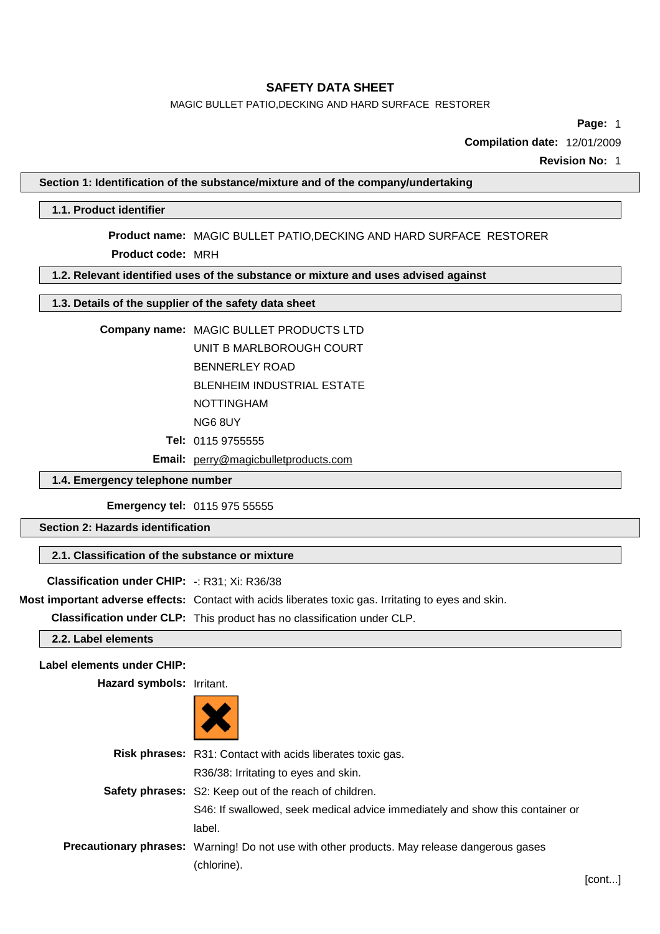## MAGIC BULLET PATIO,DECKING AND HARD SURFACE RESTORER

**Page:** 1

**Compilation date:** 12/01/2009

**Revision No:** 1

### **Section 1: Identification of the substance/mixture and of the company/undertaking**

### **1.1. Product identifier**

**Product name:** MAGIC BULLET PATIO,DECKING AND HARD SURFACE RESTORER **Product code:** MRH

### **1.2. Relevant identified uses of the substance or mixture and uses advised against**

### **1.3. Details of the supplier of the safety data sheet**

#### **Company name:** MAGIC BULLET PRODUCTS LTD

UNIT B MARLBOROUGH COURT BENNERLEY ROAD BLENHEIM INDUSTRIAL ESTATE NOTTINGHAM

NG6 8UY

- **Tel:** 0115 9755555
- **Email:** [perry@magicbulletproducts.com](mailto:perry@magicbulletproducts.com)

## **1.4. Emergency telephone number**

**Emergency tel:** 0115 975 55555

**Section 2: Hazards identification**

### **2.1. Classification of the substance or mixture**

# **Classification under CHIP:** -: R31; Xi: R36/38

**Most important adverse effects:** Contact with acids liberates toxic gas. Irritating to eyes and skin.

**Classification under CLP:** This product has no classification under CLP.

**2.2. Label elements**

### **Label elements under CHIP:**

**Hazard symbols:** Irritant.



| <b>Risk phrases:</b> R31: Contact with acids liberates toxic gas.                                  |
|----------------------------------------------------------------------------------------------------|
| R36/38: Irritating to eyes and skin.                                                               |
| Safety phrases: S2: Keep out of the reach of children.                                             |
| S46: If swallowed, seek medical advice immediately and show this container or                      |
| label.                                                                                             |
| <b>Precautionary phrases:</b> Warning! Do not use with other products. May release dangerous gases |
| (chlorine).                                                                                        |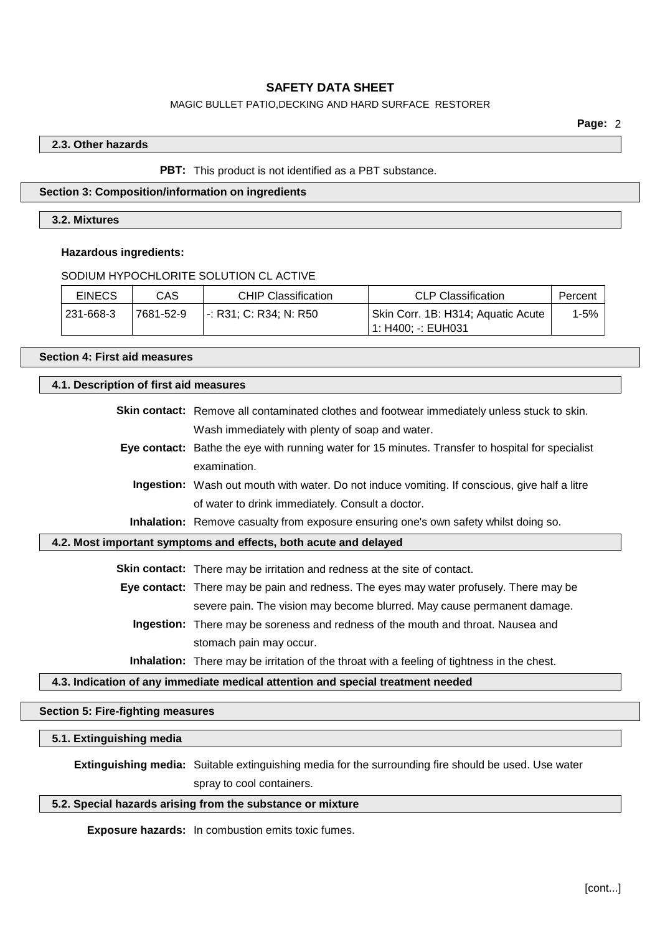## MAGIC BULLET PATIO,DECKING AND HARD SURFACE RESTORER

#### **2.3. Other hazards**

#### **PBT:** This product is not identified as a PBT substance.

### **Section 3: Composition/information on ingredients**

### **3.2. Mixtures**

#### **Hazardous ingredients:**

### SODIUM HYPOCHLORITE SOLUTION CL ACTIVE

| <b>EINECS</b> | CAS       | <b>CHIP Classification</b> | <b>CLP Classification</b>                                | Percent |
|---------------|-----------|----------------------------|----------------------------------------------------------|---------|
| 231-668-3     | 7681-52-9 | -: R31: C: R34: N: R50     | Skin Corr. 1B: H314; Aquatic Acute<br>1: H400: -: EUH031 | 1-5%    |

# **Section 4: First aid measures**

### **4.1. Description of first aid measures**

| Skin contact: Remove all contaminated clothes and footwear immediately unless stuck to skin. |
|----------------------------------------------------------------------------------------------|
| Wash immediately with plenty of soap and water.                                              |

**Eye contact:** Bathe the eye with running water for 15 minutes. Transfer to hospital for specialist examination.

**Ingestion:** Wash out mouth with water. Do not induce vomiting. If conscious, give half a litre of water to drink immediately. Consult a doctor.

**Inhalation:** Remove casualty from exposure ensuring one's own safety whilst doing so.

### **4.2. Most important symptoms and effects, both acute and delayed**

**Skin contact:** There may be irritation and redness at the site of contact.

**Eye contact:** There may be pain and redness. The eyes may water profusely. There may be severe pain. The vision may become blurred. May cause permanent damage.

**Ingestion:** There may be soreness and redness of the mouth and throat. Nausea and stomach pain may occur.

**Inhalation:** There may be irritation of the throat with a feeling of tightness in the chest.

#### **4.3. Indication of any immediate medical attention and special treatment needed**

#### **Section 5: Fire-fighting measures**

### **5.1. Extinguishing media**

**Extinguishing media:** Suitable extinguishing media for the surrounding fire should be used. Use water spray to cool containers.

### **5.2. Special hazards arising from the substance or mixture**

**Exposure hazards:** In combustion emits toxic fumes.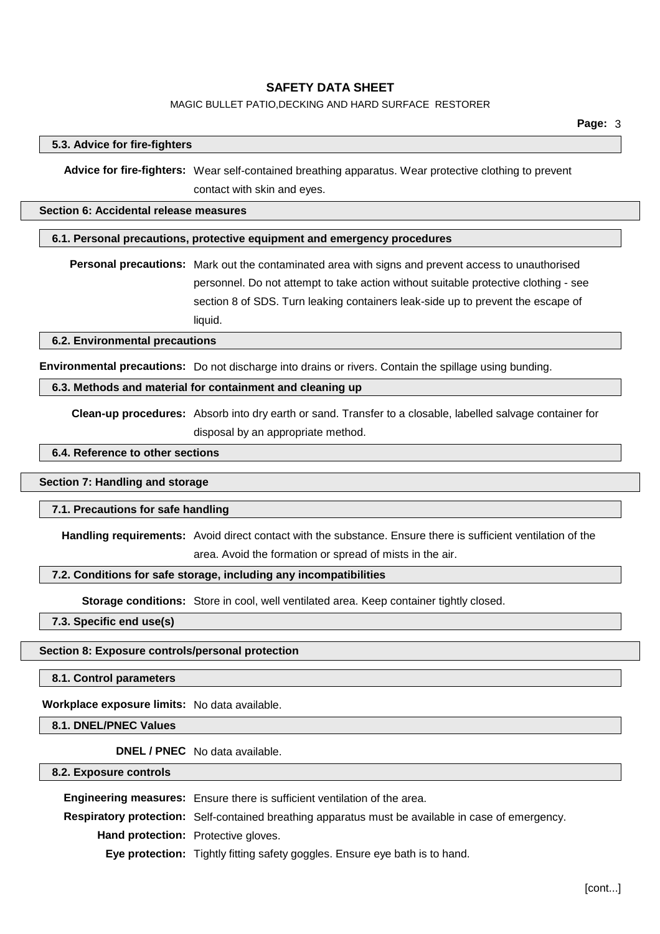### MAGIC BULLET PATIO,DECKING AND HARD SURFACE RESTORER

#### **5.3. Advice for fire-fighters**

**Advice for fire-fighters:** Wear self-contained breathing apparatus. Wear protective clothing to prevent contact with skin and eyes.

### **Section 6: Accidental release measures**

#### **6.1. Personal precautions, protective equipment and emergency procedures**

**Personal precautions:** Mark out the contaminated area with signs and prevent access to unauthorised personnel. Do not attempt to take action without suitable protective clothing - see section 8 of SDS. Turn leaking containers leak-side up to prevent the escape of liquid.

#### **6.2. Environmental precautions**

**Environmental precautions:** Do not discharge into drains or rivers. Contain the spillage using bunding.

## **6.3. Methods and material for containment and cleaning up**

**Clean-up procedures:** Absorb into dry earth or sand. Transfer to a closable, labelled salvage container for disposal by an appropriate method.

### **6.4. Reference to other sections**

#### **Section 7: Handling and storage**

#### **7.1. Precautions for safe handling**

**Handling requirements:** Avoid direct contact with the substance. Ensure there is sufficient ventilation of the area. Avoid the formation or spread of mists in the air.

#### **7.2. Conditions for safe storage, including any incompatibilities**

**Storage conditions:** Store in cool, well ventilated area. Keep container tightly closed.

**7.3. Specific end use(s)**

#### **Section 8: Exposure controls/personal protection**

**8.1. Control parameters**

**Workplace exposure limits:** No data available.

**8.1. DNEL/PNEC Values**

**DNEL / PNEC** No data available.

**8.2. Exposure controls**

**Engineering measures:** Ensure there is sufficient ventilation of the area. **Respiratory protection:** Self-contained breathing apparatus must be available in case of emergency. **Hand protection:** Protective gloves. **Eye protection:** Tightly fitting safety goggles. Ensure eye bath is to hand.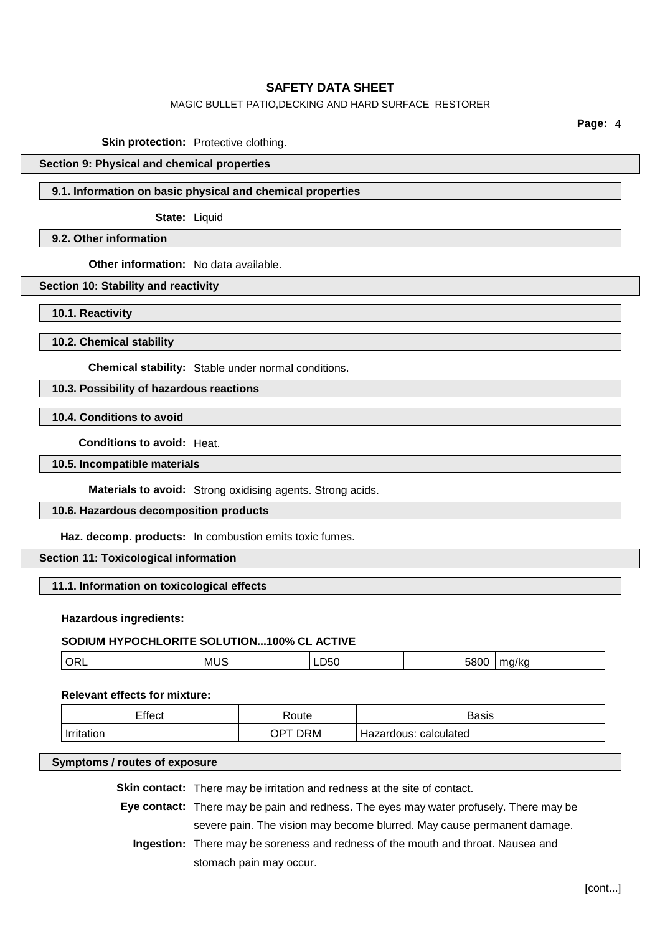## MAGIC BULLET PATIO,DECKING AND HARD SURFACE RESTORER

**Page:** 4

**Skin protection:** Protective clothing.

## **Section 9: Physical and chemical properties**

### **9.1. Information on basic physical and chemical properties**

**State:** Liquid

# **9.2. Other information**

**Other information:** No data available.

### **Section 10: Stability and reactivity**

**10.1. Reactivity**

**10.2. Chemical stability**

**Chemical stability:** Stable under normal conditions.

## **10.3. Possibility of hazardous reactions**

**10.4. Conditions to avoid**

**Conditions to avoid:** Heat.

### **10.5. Incompatible materials**

**Materials to avoid:** Strong oxidising agents. Strong acids.

#### **10.6. Hazardous decomposition products**

**Haz. decomp. products:** In combustion emits toxic fumes.

### **Section 11: Toxicological information**

## **11.1. Information on toxicological effects**

#### **Hazardous ingredients:**

## **SODIUM HYPOCHLORITE SOLUTION...100% CL ACTIVE**

| ORL<br>MU<br>.,<br>ᄮ<br>--<br>___<br>___ |
|------------------------------------------|
|------------------------------------------|

#### **Relevant effects for mixture:**

| Effect        | 'oute       | <b>Poeie</b><br>วสงเง |
|---------------|-------------|-----------------------|
| <b>Irrito</b> | $\Omega$ PT | calculated            |
| tion          | ר ORM       | Hazardous:            |

## **Symptoms / routes of exposure**

**Skin contact:** There may be irritation and redness at the site of contact.

**Eye contact:** There may be pain and redness. The eyes may water profusely. There may be severe pain. The vision may become blurred. May cause permanent damage.

**Ingestion:** There may be soreness and redness of the mouth and throat. Nausea and stomach pain may occur.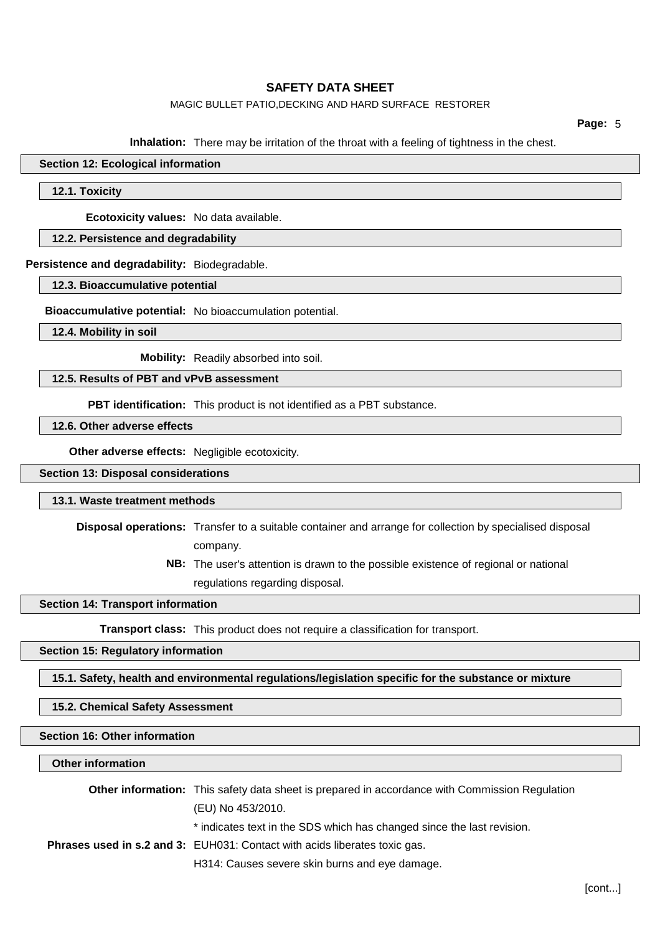### MAGIC BULLET PATIO,DECKING AND HARD SURFACE RESTORER

**Page:** 5

**Inhalation:** There may be irritation of the throat with a feeling of tightness in the chest.

## **Section 12: Ecological information**

#### **12.1. Toxicity**

**Ecotoxicity values:** No data available.

## **12.2. Persistence and degradability**

**Persistence and degradability:** Biodegradable.

**12.3. Bioaccumulative potential**

**Bioaccumulative potential:** No bioaccumulation potential.

**12.4. Mobility in soil**

**Mobility:** Readily absorbed into soil.

**12.5. Results of PBT and vPvB assessment**

**PBT identification:** This product is not identified as a PBT substance.

**12.6. Other adverse effects**

**Other adverse effects:** Negligible ecotoxicity.

### **Section 13: Disposal considerations**

#### **13.1. Waste treatment methods**

**Disposal operations:** Transfer to a suitable container and arrange for collection by specialised disposal company.

> **NB:** The user's attention is drawn to the possible existence of regional or national regulations regarding disposal.

#### **Section 14: Transport information**

**Transport class:** This product does not require a classification for transport.

### **Section 15: Regulatory information**

**15.1. Safety, health and environmental regulations/legislation specific for the substance or mixture**

### **15.2. Chemical Safety Assessment**

### **Section 16: Other information**

### **Other information**

| <b>Other information:</b> This safety data sheet is prepared in accordance with Commission Regulation |  |
|-------------------------------------------------------------------------------------------------------|--|
| (EU) No 453/2010.                                                                                     |  |
| * indicates text in the SDS which has changed since the last revision.                                |  |
| <b>Phrases used in s.2 and 3:</b> EUH031: Contact with acids liberates toxic gas.                     |  |
| H314: Causes severe skin burns and eye damage.                                                        |  |